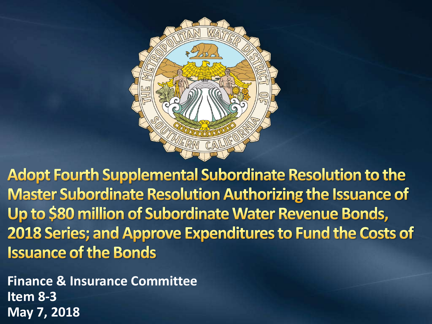

**Adopt Fourth Supplemental Subordinate Resolution to the Master Subordinate Resolution Authorizing the Issuance of** Up to \$80 million of Subordinate Water Revenue Bonds, 2018 Series; and Approve Expenditures to Fund the Costs of **Issuance of the Bonds** 

Finance & Insurance Committee Item 8 **May 7, 2018Finance & Insurance Committee Item 8 - 3**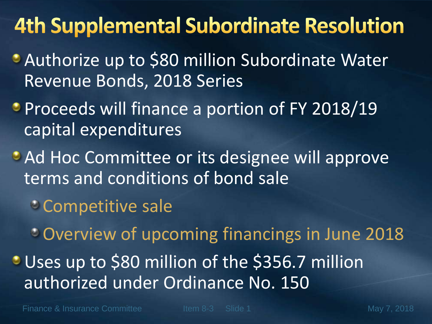### **4th Supplemental Subordinate Resolution**

- Authorize up to \$80 million Subordinate Water Revenue Bonds, 2018 Series
- **Proceeds will finance a portion of FY 2018/19** capital expenditures
- **Ad Hoc Committee or its designee will approve** terms and conditions of bond sale
	- Competitive sale

Overview of upcoming financings in June 2018 Uses up to \$80 million of the \$356.7 million authorized under Ordinance No. 150

Finance & Insurance Committee The Item 8-3 Slide 1 May 7, 2018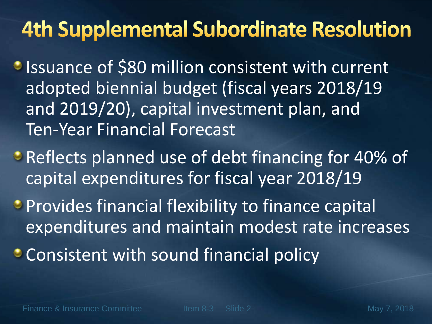### **4th Supplemental Subordinate Resolution**

**Issuance of \$80 million consistent with current** adopted biennial budget (fiscal years 2018/19 and 2019/20), capital investment plan, and Ten-Year Financial Forecast

**• Reflects planned use of debt financing for 40% of** capital expenditures for fiscal year 2018/19

**Provides financial flexibility to finance capital** expenditures and maintain modest rate increases

• Consistent with sound financial policy

Finance & Insurance Committee The Item 8-3 Slide 2 May 7, 2018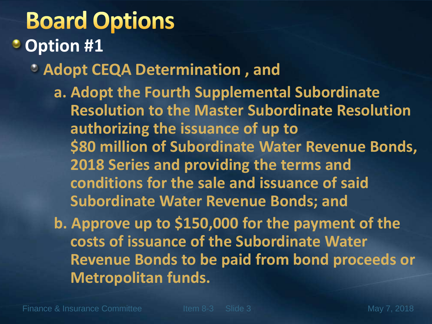## **Board Options**

#### **Option #1**

- **Adopt CEQA Determination , and**
	- **a. Adopt the Fourth Supplemental Subordinate Resolution to the Master Subordinate Resolution authorizing the issuance of up to \$80 million of Subordinate Water Revenue Bonds, 2018 Series and providing the terms and conditions for the sale and issuance of said Subordinate Water Revenue Bonds; and**
	- **b. Approve up to \$150,000 for the payment of the costs of issuance of the Subordinate Water Revenue Bonds to be paid from bond proceeds or Metropolitan funds.**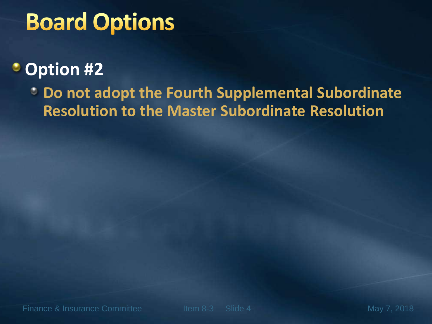## **Board Options**

#### **Option #2**

**Do not adopt the Fourth Supplemental Subordinate Resolution to the Master Subordinate Resolution**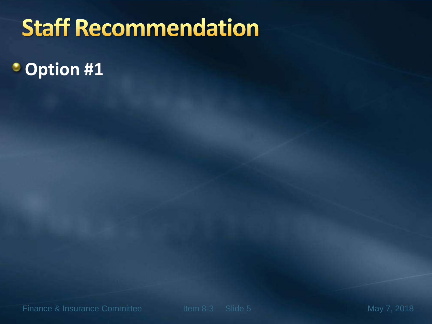# **Staff Recommendation**

**Option #1**

Finance & Insurance Committee Item 8-3 Slide 5 May 7, 2018